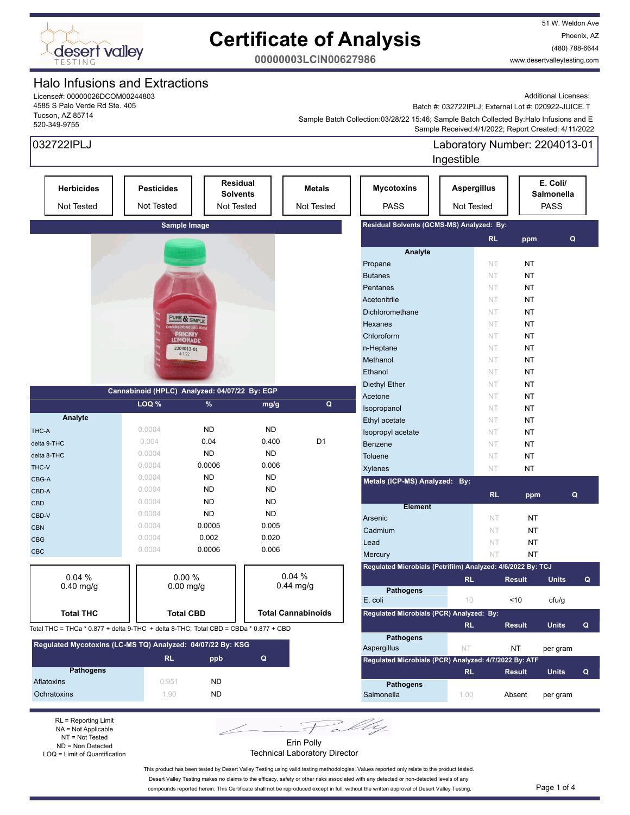

51 W. Weldon Ave Phoenix, AZ (480) 788-6644 www.desertvalleytesting.com

**00000003LCIN00627986**

### Halo Infusions and Extractions

License#: 00000026DCOM00244803 4585 S Palo Verde Rd Ste. 405 Tucson, AZ 85714 520-349-9755

Additional Licenses: Batch #: 032722IPLJ; External Lot #: 020922-JUICE.T

 Sample Received:4/1/2022; Report Created: 4/11/2022 Sample Batch Collection:03/28/22 15:46; Sample Batch Collected By:Halo Infusions and E

| 032722IPLJ                                                                           |                                               |                               |             |                           |                                                             | Laboratory Number: 2204013-01<br>Ingestible |                        |                        |   |
|--------------------------------------------------------------------------------------|-----------------------------------------------|-------------------------------|-------------|---------------------------|-------------------------------------------------------------|---------------------------------------------|------------------------|------------------------|---|
| <b>Herbicides</b>                                                                    | <b>Pesticides</b>                             | <b>Solvents</b>               | Residual    | <b>Metals</b>             | <b>Mycotoxins</b>                                           | <b>Aspergillus</b>                          |                        | E. Coli/<br>Salmonella |   |
| Not Tested                                                                           | Not Tested<br>Not Tested<br>Not Tested        |                               |             |                           | <b>PASS</b><br><b>PASS</b><br>Not Tested                    |                                             |                        |                        |   |
|                                                                                      | Sample Image                                  |                               |             |                           | Residual Solvents (GCMS-MS) Analyzed: By:                   |                                             |                        |                        |   |
|                                                                                      |                                               |                               |             |                           | Analyte                                                     |                                             | <b>RL</b><br>ppm       | Q                      |   |
|                                                                                      |                                               |                               |             |                           | Propane                                                     |                                             | NT<br>NT               |                        |   |
|                                                                                      |                                               |                               |             |                           | <b>Butanes</b>                                              |                                             | NT<br>NT               |                        |   |
|                                                                                      |                                               |                               |             |                           | Pentanes                                                    |                                             | NT<br>NT               |                        |   |
|                                                                                      |                                               |                               |             |                           | Acetonitrile                                                |                                             | NT<br>NT               |                        |   |
|                                                                                      |                                               |                               |             |                           | Dichloromethane                                             |                                             | NT<br>NT               |                        |   |
|                                                                                      |                                               | PURE & SIMPLE                 |             |                           | Hexanes                                                     |                                             | NT<br>NT               |                        |   |
|                                                                                      |                                               | PRICKLY                       |             |                           | Chloroform                                                  |                                             | NT<br>NT               |                        |   |
|                                                                                      |                                               | <b>LEMONADE</b><br>2204013-01 |             |                           | n-Heptane                                                   |                                             | NT<br>NT               |                        |   |
|                                                                                      | 4/1/22                                        |                               |             |                           | Methanol                                                    |                                             | NT<br>NT               |                        |   |
|                                                                                      |                                               |                               |             |                           | Ethanol                                                     |                                             | <b>NT</b><br>NT        |                        |   |
|                                                                                      |                                               |                               |             |                           | <b>Diethyl Ether</b>                                        |                                             | NT<br>NT               |                        |   |
|                                                                                      | Cannabinoid (HPLC) Analyzed: 04/07/22 By: EGP |                               |             |                           | Acetone                                                     |                                             | NT.<br>NT              |                        |   |
|                                                                                      | LOQ %                                         | %                             | mg/g        | Q                         | Isopropanol                                                 |                                             | NT.<br>NT              |                        |   |
| Analyte                                                                              |                                               |                               |             |                           | Ethyl acetate                                               |                                             | NT<br>NT               |                        |   |
| THC-A                                                                                | 0.0004                                        | <b>ND</b>                     | <b>ND</b>   |                           | Isopropyl acetate                                           |                                             | NT<br>NT               |                        |   |
| delta 9-THC                                                                          | 0.004                                         | 0.04                          | 0.400       | D <sub>1</sub>            | <b>Benzene</b>                                              |                                             | NT<br>NT               |                        |   |
| delta 8-THC                                                                          | 0.0004                                        | <b>ND</b>                     | <b>ND</b>   |                           | <b>Toluene</b>                                              |                                             | NT<br>NT               |                        |   |
| THC-V                                                                                | 0.0004                                        | 0.0006                        | 0.006       |                           |                                                             |                                             | <b>NT</b>              |                        |   |
| CBG-A                                                                                | 0.0004                                        | <b>ND</b>                     | <b>ND</b>   |                           | <b>Xylenes</b>                                              |                                             | NT                     |                        |   |
| CBD-A                                                                                | 0.0004                                        | <b>ND</b>                     | <b>ND</b>   |                           | Metals (ICP-MS) Analyzed: By:                               |                                             |                        |                        |   |
| <b>CBD</b>                                                                           | 0.0004                                        | <b>ND</b>                     | <b>ND</b>   |                           |                                                             |                                             | <b>RL</b><br>ppm       |                        | Q |
| CBD-V                                                                                | 0.0004                                        | <b>ND</b>                     | <b>ND</b>   |                           | <b>Element</b>                                              |                                             |                        |                        |   |
| <b>CBN</b>                                                                           | 0.0004                                        | 0.0005                        | 0.005       |                           | Arsenic                                                     |                                             | <b>NT</b><br><b>NT</b> |                        |   |
|                                                                                      | 0.0004                                        | 0.002                         | 0.020       |                           | Cadmium                                                     |                                             | NT<br><b>NT</b>        |                        |   |
| <b>CBG</b>                                                                           | 0.0004                                        | 0.0006                        | 0.006       |                           | Lead                                                        |                                             | NT<br>NT               |                        |   |
| <b>CBC</b>                                                                           |                                               |                               |             |                           | Mercury                                                     |                                             | <b>NT</b><br><b>NT</b> |                        |   |
|                                                                                      |                                               |                               |             |                           | Regulated Microbials (Petrifilm) Analyzed: 4/6/2022 By: TCJ |                                             |                        |                        |   |
| 0.04 %<br>$0.40$ mg/g                                                                |                                               | 0.00%<br>$0.00$ mg/g          |             | 0.04%<br>$0.44$ mg/g      |                                                             | RL.                                         | <b>Result</b>          | <b>Units</b>           | Q |
|                                                                                      |                                               |                               |             |                           | <b>Pathogens</b>                                            |                                             |                        |                        |   |
|                                                                                      |                                               |                               |             |                           | E. coli                                                     | $10 -$                                      | $<10$                  | cfu/g                  |   |
| <b>Total THC</b>                                                                     |                                               | <b>Total CBD</b>              |             | <b>Total Cannabinoids</b> | Regulated Microbials (PCR) Analyzed: By:                    |                                             |                        |                        |   |
| Total THC = THCa * 0.877 + delta 9-THC + delta 8-THC; Total CBD = CBDa * 0.877 + CBD |                                               |                               |             |                           |                                                             | <b>RL</b>                                   | <b>Result</b>          | <b>Units</b>           | Q |
| Regulated Mycotoxins (LC-MS TQ) Analyzed: 04/07/22 By: KSG                           |                                               |                               |             |                           | <b>Pathogens</b>                                            |                                             |                        |                        |   |
|                                                                                      | <b>RL</b>                                     |                               | $\mathbf Q$ |                           | Aspergillus                                                 | NT                                          | NT                     | per gram               |   |
| <b>Pathogens</b>                                                                     |                                               | ppb                           |             |                           | Regulated Microbials (PCR) Analyzed: 4/7/2022 By: ATF       |                                             |                        |                        |   |
| Aflatoxins                                                                           | 0.951                                         | <b>ND</b>                     |             |                           |                                                             | <b>RL</b>                                   | <b>Result</b>          | <b>Units</b>           | Q |
| Ochratoxins                                                                          | 1.90                                          | ND                            |             |                           | <b>Pathogens</b>                                            |                                             |                        |                        |   |
|                                                                                      |                                               |                               |             |                           | Salmonella                                                  | 1.00                                        | Absent                 | per gram               |   |

NA = Not Applicable NT = Not Tested ND = Non Detected LOQ = Limit of Quantification

Erin Polly Technical Laboratory Director

This product has been tested by Desert Valley Testing using valid testing methodologies. Values reported only relate to the product tested. Desert Valley Testing makes no claims to the efficacy, safety or other risks associated with any detected or non-detected levels of any

compounds reported herein. This Certificate shall not be reproduced except in full, without the written approval of Desert Valley Testing. Page 1 of 4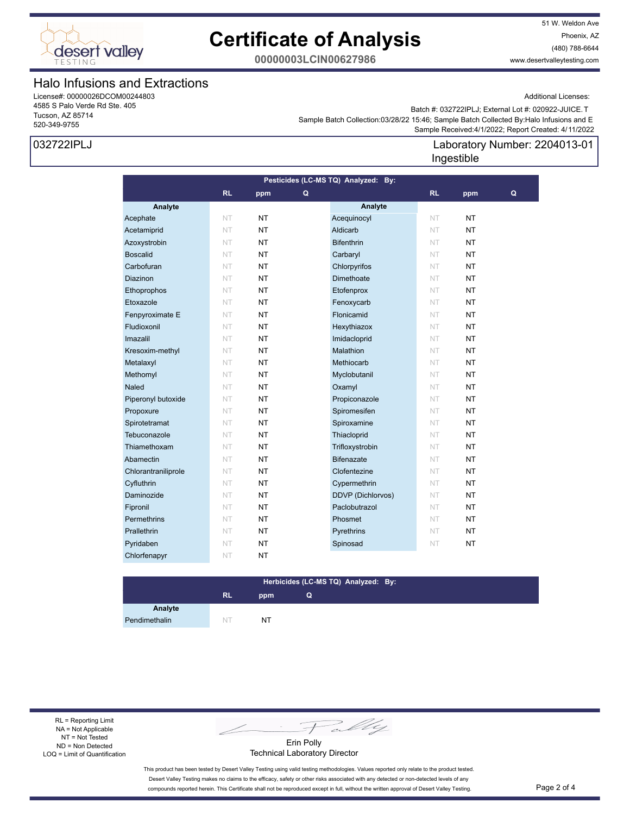

51 W. Weldon Ave Phoenix, AZ (480) 788-6644 www.desertvalleytesting.com

**00000003LCIN00627986**

### Halo Infusions and Extractions

License#: 00000026DCOM00244803 4585 S Palo Verde Rd Ste. 405 Tucson, AZ 85714 520-349-9755

#### 032722IPLJ

Additional Licenses:

Laboratory Number: 2204013-01

 Sample Received:4/1/2022; Report Created: 4/11/2022 Sample Batch Collection:03/28/22 15:46; Sample Batch Collected By:Halo Infusions and E Batch #: 032722IPLJ; External Lot #: 020922-JUICE.T

Ingestible

#### **Analyte Analyte RL ppm RL ppm Pesticides (LC-MS TQ) Analyzed: By: Q Q** Acephate NT NT NT Acequinocyl NT NT Acetamiprid NT NT NT Aldicarb NT NT NT Azoxystrobin NT NT NT Bifenthrin NT NT NT Boscalid NT NT NT Carbaryl NT NT NT Carbofuran NT NT NT Chlorpyrifos NT NT **Diazinon NT NT NT Dimethoate** NT NT Ethoprophos NT NT NT Etofenprox NT NT Etoxazole NT NT NT Fenoxycarb NT NT **Fenpyroximate E NT NT NT Flonicamid NT NT NT Fludioxonil NT NT NT Hexythiazox NT NT NT** Imazalil NT NT NT Imidacloprid NT NT Kresoxim-methyl NT NT NT Malathion NT NT NT **Metalaxyl NT NT NT Methiocarb** NT **NT Methomyl NT NT NT Myclobutanil NT NT NT Naled NT NT NT Oxamyl NT NT NT** Piperonyl butoxide NT NT **NT** Propiconazole NT NT Propoxure NT NT NT Spiromesifen NT NT Spirotetramat NT NT NT Spiroxamine NT NT Tebuconazole **NT NT Thiacloprid NT NT NT** Thiamethoxam NT NT NT Trifloxystrobin NT NT Abamectin NT NT **NT** Bifenazate NT NT Chlorantraniliprole NT NT NT Clofentezine NT NT Cyfluthrin NT NT NT Cypermethrin NT NT Daminozide NT NT NT DDVP (Dichlorvos) NT NT **Fipronil NT NT NT Paclobutrazol NT NT Permethrins NT NT NT Phosmet NT NT NT Prallethrin NT NT NT Pyrethrins NT NT NT** Pyridaben NT NT NT Spinosad NT NT Chlorfenapyr NT NT

#### **RL ppm Herbicides (LC-MS TQ) Analyzed: By: Q**

**Analyte** Pendimethalin NT NT NT

RL = Reporting Limit NA = Not Applicable NT = Not Tested ND = Non Detected LOQ = Limit of Quantification

Fally

Erin Polly Technical Laboratory Director

This product has been tested by Desert Valley Testing using valid testing methodologies. Values reported only relate to the product tested. Desert Valley Testing makes no claims to the efficacy, safety or other risks associated with any detected or non-detected levels of any compounds reported herein. This Certificate shall not be reproduced except in full, without the written approval of Desert Valley Testing. Page 2 of 4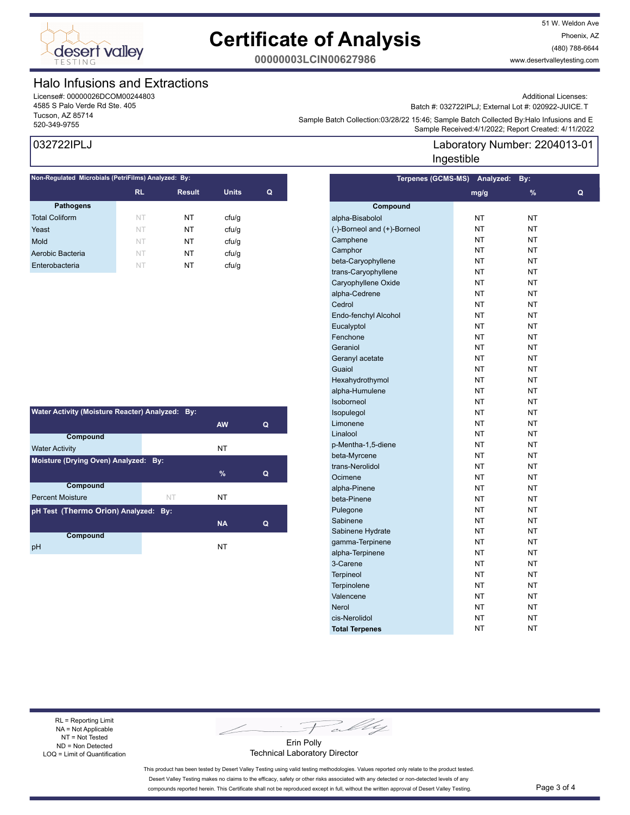

51 W. Weldon Ave Phoenix, AZ (480) 788-6644 www.desertvalleytesting.com

**00000003LCIN00627986**

### Halo Infusions and Extractions

License#: 00000026DCOM00244803 4585 S Palo Verde Rd Ste. 405 Tucson, AZ 85714

#### Additional Licenses:

Batch #: 032722IPLJ; External Lot #: 020922-JUICE.T

Sample Batch Collection.US/20/22 15.40, Sample Batch Collection Systems Batch Collection Systems and E<br>Sample Received:4/1/2022; Report Created: 4/11/2022 Sample Batch Collection:03/28/22 15:46; Sample Batch Collected By:Halo Infusions and E

**Terpenes (GCMS-MS) Analyzed: By:** 

#### 032722IPLJ

| Non-Regulated Microbials (PetriFilms) Analyzed: By: |           |               |              |   |  |  |  |
|-----------------------------------------------------|-----------|---------------|--------------|---|--|--|--|
|                                                     | <b>RL</b> | <b>Result</b> | <b>Units</b> | Q |  |  |  |
| <b>Pathogens</b>                                    |           |               |              |   |  |  |  |
| <b>Total Coliform</b>                               | NT        | NT            | cfu/q        |   |  |  |  |
| Yeast                                               | NT        | NT            | cfu/q        |   |  |  |  |
| Mold                                                | NT        | NT            | cfu/g        |   |  |  |  |
| Aerobic Bacteria                                    | NT        | NT            | cfu/q        |   |  |  |  |
| Enterobacteria                                      | NT        | NT            | cfu/g        |   |  |  |  |
|                                                     |           |               |              |   |  |  |  |

| Water Activity (Moisture Reacter) Analyzed: By: |    |           |   |  |  |  |
|-------------------------------------------------|----|-----------|---|--|--|--|
|                                                 |    | <b>AW</b> | Q |  |  |  |
| Compound                                        |    |           |   |  |  |  |
| <b>Water Activity</b>                           |    | NT        |   |  |  |  |
| Moisture (Drying Oven) Analyzed: By:            |    |           |   |  |  |  |
|                                                 |    | $\%$      | Q |  |  |  |
| Compound                                        |    |           |   |  |  |  |
| <b>Percent Moisture</b>                         | NT | NT        |   |  |  |  |
| pH Test (Thermo Orion) Analyzed: By:            |    |           |   |  |  |  |
|                                                 |    | <b>NA</b> | Q |  |  |  |
| Compound                                        |    |           |   |  |  |  |
| рH                                              |    | NT        |   |  |  |  |

**Compound mg/g % Q** alpha-Bisabolol NT NT NT (-)-Borneol and (+)-Borneol NT NT Camphene NT NT NT Camphor NT NT NT beta-Caryophyllene NT NT NT trans-Caryophyllene NT NT NT Caryophyllene Oxide NT NT NT alpha-Cedrene NT NT NT Cedrol NT NT Endo-fenchyl Alcohol NT NT NT Eucalyptol NT NT NT Fenchone NT NT NT Geraniol NT NT NT Geranyl acetate NT NT NT Guaiol NT NT NT Hexahydrothymol NT NT NT alpha-Humulene NT NT NT Isoborneol NT NT Isopulegol NT NT NT Limonene NT NT NT Linalool NT NT p-Mentha-1,5-diene NT NT NT beta-Myrcene NT NT NT trans-Nerolidol NT NT NT Ocimene NT NT NT alpha-Pinene NT NT NT beta-Pinene NT NT NT Pulegone NT NT NT Sabinene NT NT NT Sabinene Hydrate NT NT NT NT gamma-Terpinene NT NT NT alpha-Terpinene NT NT NT 3-Carene NT NT NT Terpineol NT NT NT Terpinolene NT NT NT Valencene NT NT NT Nerol NT NT NT cis-Nerolidol NT NT **Total Terpenes** NT NT NT

Laboratory Number: 2204013-01 Ingestible

RL = Reporting Limit NA = Not Applicable NT = Not Tested ND = Non Detected LOQ = Limit of Quantification

Fally

Erin Polly Technical Laboratory Director

This product has been tested by Desert Valley Testing using valid testing methodologies. Values reported only relate to the product tested. Desert Valley Testing makes no claims to the efficacy, safety or other risks associated with any detected or non-detected levels of any compounds reported herein. This Certificate shall not be reproduced except in full, without the written approval of Desert Valley Testing. Page 3 of 4